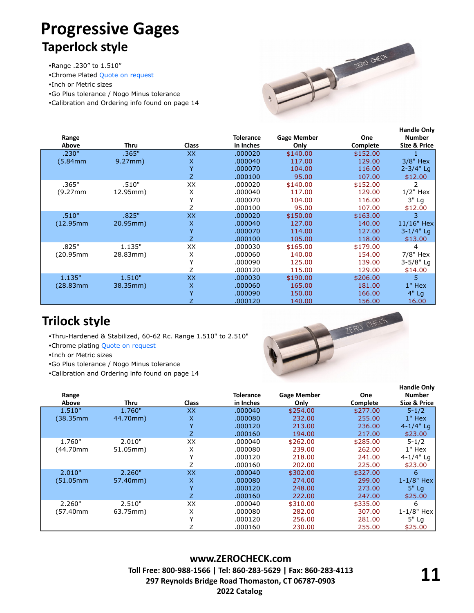## **Progressive Gages Taperlock style**

Range .230" to 1.510"

Chrome Plated [Quote on request](https://zerocheck.com/contact-us/)

- Inch or Metric sizes
- Go Plus tolerance / Nogo Minus tolerance

Calibration and Ordering info found on page 14



| Range<br>Above | Thru     | <b>Class</b> | <b>Tolerance</b><br>in Inches | <b>Gage Member</b><br>Only | One<br>Complete | <b>Handle Only</b><br><b>Number</b><br>Size & Price |
|----------------|----------|--------------|-------------------------------|----------------------------|-----------------|-----------------------------------------------------|
| .230"          | .365"    | XX           | .000020                       | \$140.00                   | \$152.00        |                                                     |
| (5.84mm        | 9.27mm)  | X            | .000040                       | 117.00                     | 129.00          | $3/8"$ Hex                                          |
|                |          | Y            | .000070                       | 104.00                     | 116.00          | $2 - 3/4"$ Lg                                       |
|                |          | Z.           | .000100                       | 95.00                      | 107.00          | \$12.00                                             |
| .365"          | .510"    | XX           | .000020                       | \$140.00                   | \$152.00        | 2                                                   |
| (9.27mm)       | 12.95mm) | X            | .000040                       | 117.00                     | 129.00          | $1/2"$ Hex                                          |
|                |          | Υ            | .000070                       | 104.00                     | 116.00          | 3" Lg                                               |
|                |          | Z            | .000100                       | 95.00                      | 107.00          | \$12.00                                             |
| .510"          | .825"    | XX           | .000020                       | \$150.00                   | \$163.00        | 3                                                   |
| (12.95mm)      | 20.95mm) | X            | .000040                       | 127.00                     | 140.00          | $11/16"$ Hex                                        |
|                |          | Ÿ            | .000070                       | 114.00                     | 127.00          | $3-1/4"$ Lg                                         |
|                |          | Z            | .000100                       | 105.00                     | 118.00          | \$13.00                                             |
| .825"          | 1.135"   | XX           | .000030                       | \$165.00                   | \$179.00        | 4                                                   |
| (20.95mm)      | 28.83mm) | X            | .000060                       | 140.00                     | 154.00          | 7/8" Hex                                            |
|                |          | Υ            | .000090                       | 125.00                     | 139.00          | 3-5/8" Lg                                           |
|                |          | Z            | .000120                       | 115.00                     | 129.00          | \$14.00                                             |
| 1.135"         | 1.510"   | XX           | .000030                       | \$190.00                   | \$206.00        | 5                                                   |
| (28.83mm)      | 38.35mm) | X            | .000060                       | 165.00                     | 181.00          | $1"$ Hex                                            |
|                |          | Ÿ            | .000090                       | 150.00                     | 166.00          | $4"$ Lg                                             |
|                |          | Z            | .000120                       | 140.00                     | 156.00          | 16.00                                               |

### **Trilock style**

 Thru-Hardened & Stabilized, 60-62 Rc. Range 1.510" to 2.510" Chrome plating [Quote on request](https://zerocheck.com/contact-us/)

Inch or Metric sizes

Go Plus tolerance / Nogo Minus tolerance

Calibration and Ordering info found on page 14



| Range     |          |              | <b>Tolerance</b> | <b>Gage Member</b> | One             | Number         |
|-----------|----------|--------------|------------------|--------------------|-----------------|----------------|
| Above     | Thru     | <b>Class</b> | in Inches        | Only               | <b>Complete</b> | Size & Price   |
| 1.510"    | 1.760"   | <b>XX</b>    | .000040          | \$254.00           | \$277.00        | $5 - 1/2$      |
| (38.35mm) | 44.70mm) | X            | .000080          | 232.00             | 255.00          | $1"$ Hex       |
|           |          | Y            | .000120          | 213.00             | 236.00          | $4 - 1/4"$ Lg  |
|           |          | Z            | .000160          | 194.00             | 217.00          | \$23.00        |
| 1.760"    | 2.010"   | XX           | .000040          | \$262.00           | \$285.00        | $5 - 1/2$      |
| (44.70mm  | 51.05mm) | X            | .000080          | 239.00             | 262.00          | 1" Hex         |
|           |          |              | .000120          | 218.00             | 241.00          | $4 - 1/4"$ Lg  |
|           |          |              | .000160          | 202.00             | 225.00          | \$23.00        |
| 2.010"    | 2.260"   | <b>XX</b>    | .000040          | \$302.00           | \$327.00        | 6              |
| (51.05mm) | 57.40mm) | X            | .000080          | 274.00             | 299.00          | $1 - 1/8"$ Hex |
|           |          | Y            | .000120          | 248.00             | 273.00          | $5"$ Lg        |
|           |          | Z            | .000160          | 222.00             | 247.00          | \$25.00        |
| 2.260"    | 2.510"   | XX           | .000040          | \$310.00           | \$335.00        | 6              |
| (57.40mm  | 63.75mm) | X            | .000080          | 282.00             | 307.00          | $1 - 1/8"$ Hex |
|           |          | $\checkmark$ | .000120          | 256.00             | 281.00          | 5" Lg          |
|           |          |              | .000160          | 230.00             | 255.00          | \$25.00        |

**www.ZEROCHECK.com Toll Free: 800-988-1566 | Tel: 860-283-5629 | Fax: 860-283-4113 297 Reynolds Bridge Road Thomaston, CT 06787-0903 2022 Catalog** 

**Handle Only**